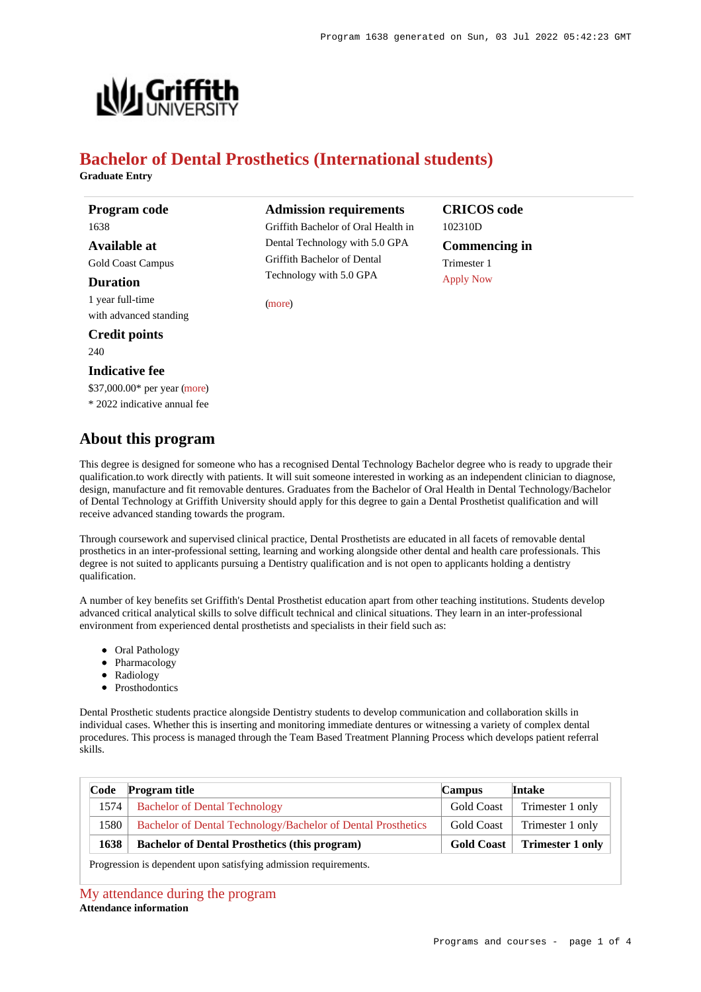

# **Bachelor of Dental Prosthetics (International students)**

**Graduate Entry**

**Program code** 1638 **Available at** Gold Coast Campus **Duration** 1 year full-time with advanced standing **Credit points**

240

# **Indicative fee**

\$37,000.00\* per year [\(more](https://www148.griffith.edu.au/programs-courses/Program/1638/Overview/International#fees)) \* 2022 indicative annual fee

# **About this program**

**Admission requirements**

Griffith Bachelor of Oral Health in Dental Technology with 5.0 GPA Griffith Bachelor of Dental Technology with 5.0 GPA

[\(more](https://www148.griffith.edu.au/programs-courses/Program/1638/HowToApply/International#can-i-apply))

**CRICOS code** 102310D **Commencing in** Trimester 1 [Apply Now](https://www148.griffith.edu.au/programs-courses/Program/1638/HowToApply/International#process)

This degree is designed for someone who has a recognised Dental Technology Bachelor degree who is ready to upgrade their qualification.to work directly with patients. It will suit someone interested in working as an independent clinician to diagnose, design, manufacture and fit removable dentures. Graduates from the Bachelor of Oral Health in Dental Technology/Bachelor of Dental Technology at Griffith University should apply for this degree to gain a Dental Prosthetist qualification and will receive advanced standing towards the program.

Through coursework and supervised clinical practice, Dental Prosthetists are educated in all facets of removable dental prosthetics in an inter-professional setting, learning and working alongside other dental and health care professionals. This degree is not suited to applicants pursuing a Dentistry qualification and is not open to applicants holding a dentistry qualification.

A number of key benefits set Griffith's Dental Prosthetist education apart from other teaching institutions. Students develop advanced critical analytical skills to solve difficult technical and clinical situations. They learn in an inter-professional environment from experienced dental prosthetists and specialists in their field such as:

- Oral Pathology
- Pharmacology
- Radiology
- Prosthodontics

Dental Prosthetic students practice alongside Dentistry students to develop communication and collaboration skills in individual cases. Whether this is inserting and monitoring immediate dentures or witnessing a variety of complex dental procedures. This process is managed through the Team Based Treatment Planning Process which develops patient referral skills.

| Code | <b>Program title</b>                                         | <b>Campus</b>     | Intake                  |
|------|--------------------------------------------------------------|-------------------|-------------------------|
| 1574 | <b>Bachelor of Dental Technology</b>                         | <b>Gold Coast</b> | Trimester 1 only        |
| 1580 | Bachelor of Dental Technology/Bachelor of Dental Prosthetics | <b>Gold Coast</b> | Trimester 1 only        |
| 1638 | <b>Bachelor of Dental Prosthetics (this program)</b>         | <b>Gold Coast</b> | <b>Trimester 1 only</b> |

Progression is dependent upon satisfying admission requirements.

[My attendance during the program](https://www148.griffith.edu.au/programs-courses/Program/1638/Overview/International#attendance) **Attendance information**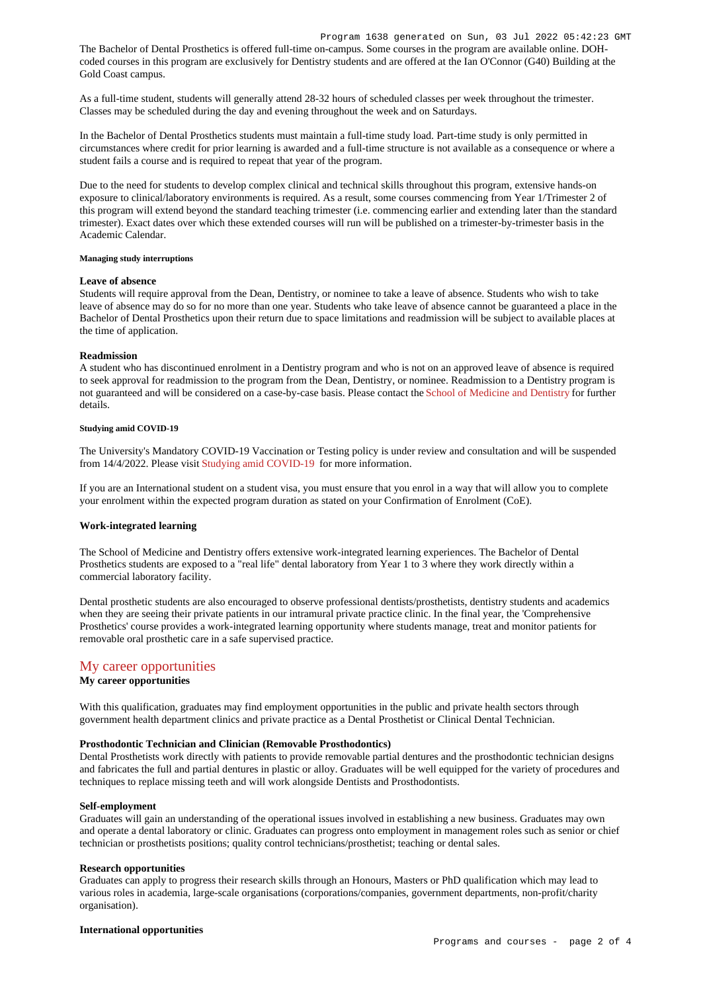The Bachelor of Dental Prosthetics is offered full-time on-campus. Some courses in the program are available online. DOHcoded courses in this program are exclusively for Dentistry students and are offered at the Ian O'Connor (G40) Building at the Gold Coast campus.

As a full-time student, students will generally attend 28-32 hours of scheduled classes per week throughout the trimester. Classes may be scheduled during the day and evening throughout the week and on Saturdays.

In the Bachelor of Dental Prosthetics students must maintain a full-time study load. Part-time study is only permitted in circumstances where credit for prior learning is awarded and a full-time structure is not available as a consequence or where a student fails a course and is required to repeat that year of the program.

Due to the need for students to develop complex clinical and technical skills throughout this program, extensive hands-on exposure to clinical/laboratory environments is required. As a result, some courses commencing from Year 1/Trimester 2 of this program will extend beyond the standard teaching trimester (i.e. commencing earlier and extending later than the standard trimester). Exact dates over which these extended courses will run will be published on a trimester-by-trimester basis in the Academic Calendar.

#### **Managing study interruptions**

#### **Leave of absence**

Students will require approval from the Dean, Dentistry, or nominee to take a leave of absence. Students who wish to take leave of absence may do so for no more than one year. Students who take leave of absence cannot be guaranteed a place in the Bachelor of Dental Prosthetics upon their return due to space limitations and readmission will be subject to available places at the time of application.

### **Readmission**

A student who has discontinued enrolment in a Dentistry program and who is not on an approved leave of absence is required to seek approval for readmission to the program from the Dean, Dentistry, or nominee. Readmission to a Dentistry program is not guaranteed and will be considered on a case-by-case basis. Please contact the [School of Medicine and Dentistry](https://www.griffith.edu.au/griffith-health/school-medicine-dentistry) for further details.

#### **Studying amid COVID-19**

The University's Mandatory COVID-19 Vaccination or Testing policy is under review and consultation and will be suspended from 14/4/2022. Please visit [Studying amid COVID-19](https://www.griffith.edu.au/coronavirus/studying-amid-covid-19) for more information.

If you are an International student on a student visa, you must ensure that you enrol in a way that will allow you to complete your enrolment within the expected program duration as stated on your Confirmation of Enrolment (CoE).

# **Work-integrated learning**

The School of Medicine and Dentistry offers extensive work-integrated learning experiences. The Bachelor of Dental Prosthetics students are exposed to a "real life" dental laboratory from Year 1 to 3 where they work directly within a commercial laboratory facility.

Dental prosthetic students are also encouraged to observe professional dentists/prosthetists, dentistry students and academics when they are seeing their private patients in our intramural private practice clinic. In the final year, the 'Comprehensive Prosthetics' course provides a work-integrated learning opportunity where students manage, treat and monitor patients for removable oral prosthetic care in a safe supervised practice.

# [My career opportunities](https://www148.griffith.edu.au/programs-courses/Program/1638/Overview/International#opportunities)

# **My career opportunities**

With this qualification, graduates may find employment opportunities in the public and private health sectors through government health department clinics and private practice as a Dental Prosthetist or Clinical Dental Technician.

# **Prosthodontic Technician and Clinician (Removable Prosthodontics)**

Dental Prosthetists work directly with patients to provide removable partial dentures and the prosthodontic technician designs and fabricates the full and partial dentures in plastic or alloy. Graduates will be well equipped for the variety of procedures and techniques to replace missing teeth and will work alongside Dentists and Prosthodontists.

# **Self-employment**

Graduates will gain an understanding of the operational issues involved in establishing a new business. Graduates may own and operate a dental laboratory or clinic. Graduates can progress onto employment in management roles such as senior or chief technician or prosthetists positions; quality control technicians/prosthetist; teaching or dental sales.

#### **Research opportunities**

Graduates can apply to progress their research skills through an Honours, Masters or PhD qualification which may lead to various roles in academia, large-scale organisations (corporations/companies, government departments, non-profit/charity organisation).

#### **International opportunities**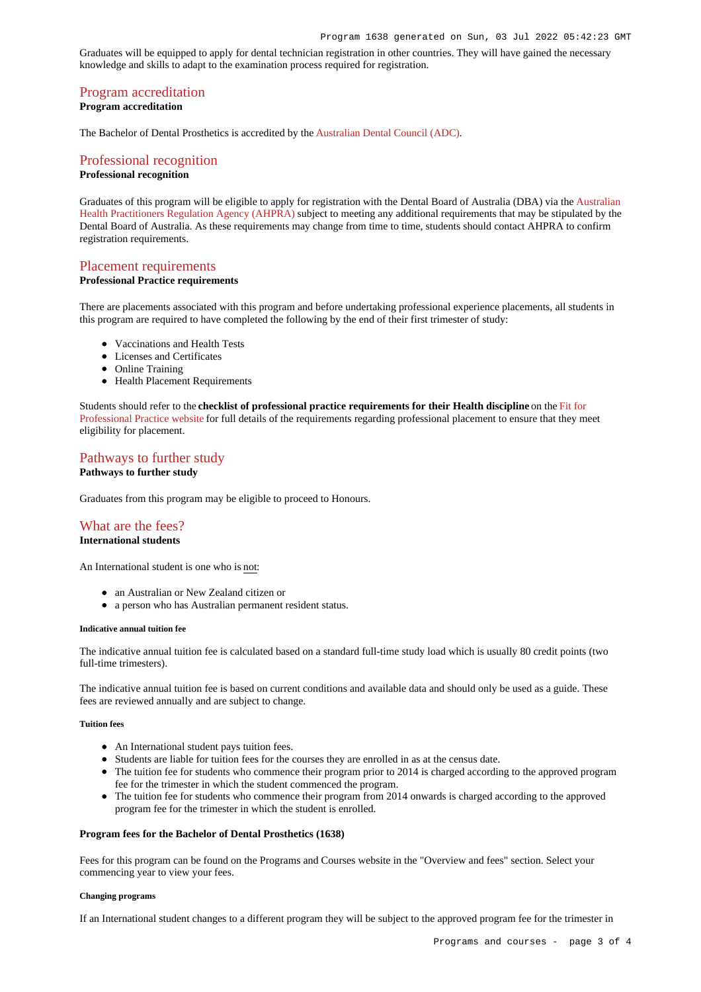Graduates will be equipped to apply for dental technician registration in other countries. They will have gained the necessary knowledge and skills to adapt to the examination process required for registration.

# [Program accreditation](https://www148.griffith.edu.au/programs-courses/Program/1638/Overview/International#accreditation)

# **Program accreditation**

The Bachelor of Dental Prosthetics is accredited by the [Australian Dental Council \(ADC\)](https://www.adc.org.au/).

# [Professional recognition](https://www148.griffith.edu.au/programs-courses/Program/1638/Overview/International#recognition) **Professional recognition**

Graduates of this program will be eligible to apply for registration with the Dental Board of Australia (DBA) via the [Australian](https://www.ahpra.gov.au/) [Health Practitioners Regulation Agency \(AHPRA\)](https://www.ahpra.gov.au/) subject to meeting any additional requirements that may be stipulated by the Dental Board of Australia. As these requirements may change from time to time, students should contact AHPRA to confirm registration requirements.

# [Placement requirements](https://www148.griffith.edu.au/programs-courses/Program/1638/Overview/International#placement)

# **Professional Practice requirements**

There are placements associated with this program and before undertaking professional experience placements, all students in this program are required to have completed the following by the end of their first trimester of study:

- Vaccinations and Health Tests
- Licenses and Certificates
- Online Training
- Health Placement Requirements

Students should refer to the **checklist of professional practice requirements for their Health discipline** on the [Fit for](https://www.griffith.edu.au/griffith-health/fit-for-professional-practice) [Professional Practice website](https://www.griffith.edu.au/griffith-health/fit-for-professional-practice) for full details of the requirements regarding professional placement to ensure that they meet eligibility for placement.

# [Pathways to further study](https://www148.griffith.edu.au/programs-courses/Program/1638/Overview/International#pathways) **Pathways to further study**

Graduates from this program may be eligible to proceed to Honours.

# [What are the fees?](https://www148.griffith.edu.au/programs-courses/Program/1638/Overview/International#fees) **International students**

An International student is one who is not:

- an Australian or New Zealand citizen or
- a person who has Australian permanent resident status.

#### **Indicative annual tuition fee**

The indicative annual tuition fee is calculated based on a standard full-time study load which is usually 80 credit points (two full-time trimesters).

The indicative annual tuition fee is based on current conditions and available data and should only be used as a guide. These fees are reviewed annually and are subject to change.

# **Tuition fees**

- An International student pays tuition fees.
- Students are liable for tuition fees for the courses they are enrolled in as at the census date.
- The tuition fee for students who commence their program prior to 2014 is charged according to the approved program fee for the trimester in which the student commenced the program.
- The tuition fee for students who commence their program from 2014 onwards is charged according to the approved program fee for the trimester in which the student is enrolled.

# **Program fees for the Bachelor of Dental Prosthetics (1638)**

Fees for this program can be found on the Programs and Courses website in the "Overview and fees" section. Select your commencing year to view your fees.

#### **Changing programs**

If an International student changes to a different program they will be subject to the approved program fee for the trimester in